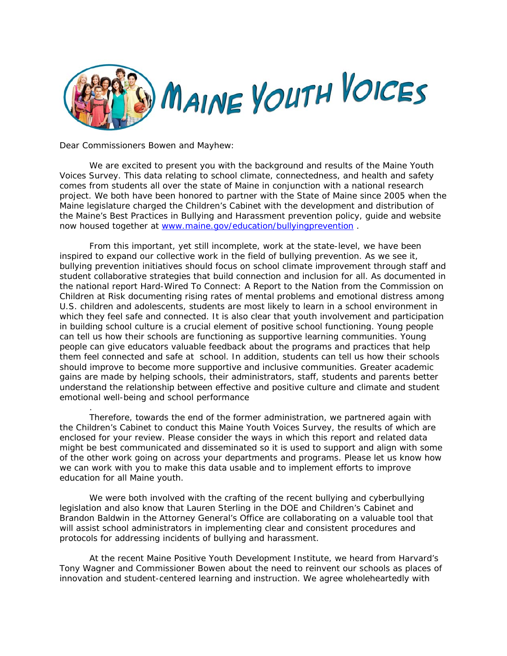

Dear Commissioners Bowen and Mayhew:

.

We are excited to present you with the background and results of the Maine Youth Voices Survey. This data relating to school climate, connectedness, and health and safety comes from students all over the state of Maine in conjunction with a national research project. We both have been honored to partner with the State of Maine since 2005 when the Maine legislature charged the Children's Cabinet with the development and distribution of the Maine's Best Practices in Bullying and Harassment prevention policy, guide and website now housed together at www.maine.gov/education/bullyingprevention .

From this important, yet still incomplete, work at the state-level, we have been inspired to expand our collective work in the field of bullying prevention. As we see it, bullying prevention initiatives should focus on school climate improvement through staff and student collaborative strategies that build connection and inclusion for all. As documented in the national report *Hard-Wired To Connect: A Report to the Nation from the Commission on Children at Risk* documenting rising rates of mental problems and emotional distress among U.S. children and adolescents, students are most likely to learn in a school environment in which they feel safe and connected. It is also clear that youth involvement and participation in building school culture is a crucial element of positive school functioning. Young people can tell us how their schools are functioning as supportive learning communities. Young people can give educators valuable feedback about the programs and practices that help them feel connected and safe at school. In addition, students can tell us how their schools should improve to become more supportive and inclusive communities. Greater academic gains are made by helping schools, their administrators, staff, students and parents better understand the relationship between effective and positive culture and climate and student emotional well-being and school performance

Therefore, towards the end of the former administration, we partnered again with the Children's Cabinet to conduct this Maine Youth Voices Survey, the results of which are enclosed for your review. Please consider the ways in which this report and related data might be best communicated and disseminated so it is used to support and align with some of the other work going on across your departments and programs. Please let us know how we can work with you to make this data usable and to implement efforts to improve education for all Maine youth.

We were both involved with the crafting of the recent bullying and cyberbullying legislation and also know that Lauren Sterling in the DOE and Children's Cabinet and Brandon Baldwin in the Attorney General's Office are collaborating on a valuable tool that will assist school administrators in implementing clear and consistent procedures and protocols for addressing incidents of bullying and harassment.

At the recent Maine Positive Youth Development Institute, we heard from Harvard's Tony Wagner and Commissioner Bowen about the need to reinvent our schools as places of innovation and student-centered learning and instruction. We agree wholeheartedly with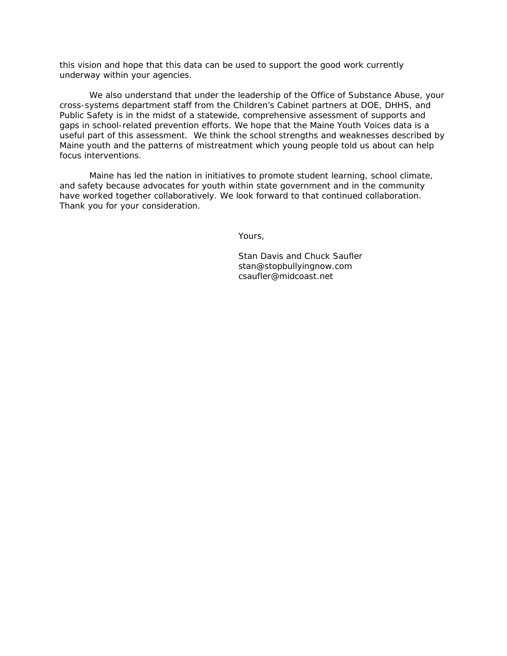this vision and hope that this data can be used to support the good work currently underway within your agencies.

We also understand that under the leadership of the Office of Substance Abuse, your cross-systems department staff from the Children's Cabinet partners at DOE, DHHS, and Public Safety is in the midst of a statewide, comprehensive assessment of supports and gaps in school-related prevention efforts. We hope that the Maine Youth Voices data is a useful part of this assessment. We think the school strengths and weaknesses described by Maine youth and the patterns of mistreatment which young people told us about can help focus interventions.

Maine has led the nation in initiatives to promote student learning, school climate, and safety because advocates for youth within state government and in the community have worked together collaboratively. We look forward to that continued collaboration. Thank you for your consideration.

Yours,

 Stan Davis and Chuck Saufler stan@stopbullyingnow.com csaufler@midcoast.net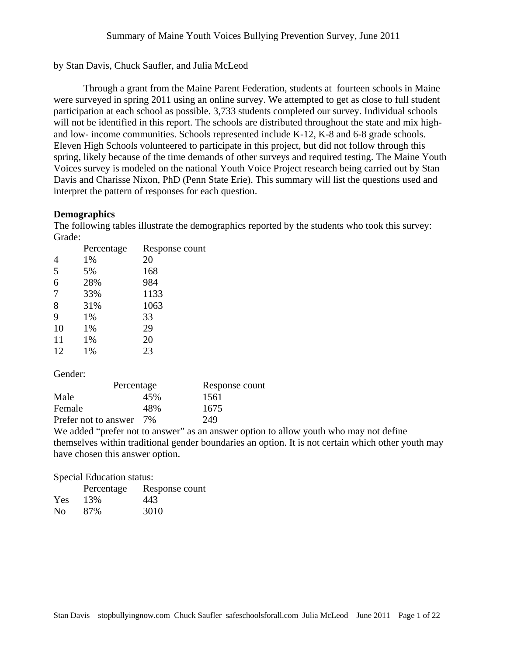by Stan Davis, Chuck Saufler, and Julia McLeod

Through a grant from the Maine Parent Federation, students at fourteen schools in Maine were surveyed in spring 2011 using an online survey. We attempted to get as close to full student participation at each school as possible. 3,733 students completed our survey. Individual schools will not be identified in this report. The schools are distributed throughout the state and mix highand low- income communities. Schools represented include K-12, K-8 and 6-8 grade schools. Eleven High Schools volunteered to participate in this project, but did not follow through this spring, likely because of the time demands of other surveys and required testing. The Maine Youth Voices survey is modeled on the national Youth Voice Project research being carried out by Stan Davis and Charisse Nixon, PhD (Penn State Erie). This summary will list the questions used and interpret the pattern of responses for each question.

# **Demographics**

The following tables illustrate the demographics reported by the students who took this survey: Grade:

|                | Percentage | Response count |
|----------------|------------|----------------|
| 4              | 1%         | 20             |
| 5              | 5%         | 168            |
| 6              | 28%        | 984            |
| $\overline{7}$ | 33%        | 1133           |
| 8              | 31%        | 1063           |
| 9              | 1%         | 33             |
| 10             | 1%         | 29             |
| 11             | 1%         | 20             |
| 12             | 1%         | 23             |

Gender:

| Percentage              |     | Response count |  |
|-------------------------|-----|----------------|--|
| Male                    | 45% | 1561           |  |
| Female                  | 48% | 1675           |  |
| Prefer not to answer 7% |     | 249            |  |

We added "prefer not to answer" as an answer option to allow youth who may not define themselves within traditional gender boundaries an option. It is not certain which other youth may have chosen this answer option.

#### Special Education status:

|                | Percentage | Response count |
|----------------|------------|----------------|
| Yes            | 13%        | 443.           |
| N <sub>0</sub> | 87%        | 3010           |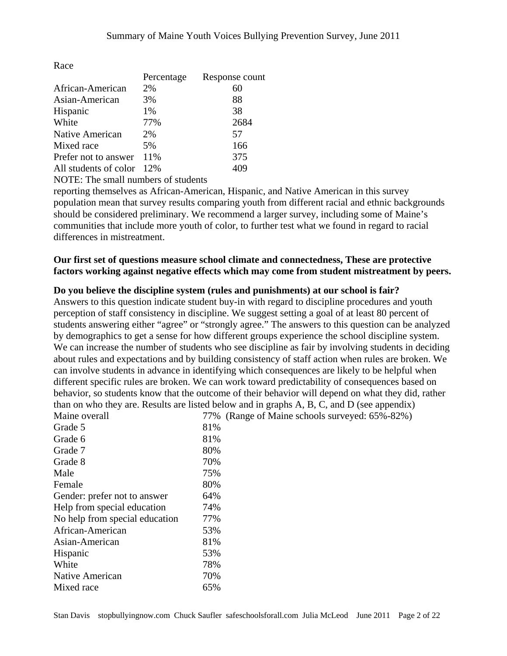|                       | Percentage | Response count |
|-----------------------|------------|----------------|
| African-American      | 2%         | 60             |
| Asian-American        | 3%         | 88             |
| Hispanic              | 1%         | 38             |
| White                 | 77%        | 2684           |
| Native American       | 2%         | 57             |
| Mixed race            | 5%         | 166            |
| Prefer not to answer  | 11%        | 375            |
| All students of color | 12%        |                |

NOTE: The small numbers of students

reporting themselves as African-American, Hispanic, and Native American in this survey population mean that survey results comparing youth from different racial and ethnic backgrounds should be considered preliminary. We recommend a larger survey, including some of Maine's communities that include more youth of color, to further test what we found in regard to racial differences in mistreatment.

**Our first set of questions measure school climate and connectedness, These are protective factors working against negative effects which may come from student mistreatment by peers.** 

## **Do you believe the discipline system (rules and punishments) at our school is fair?**

Answers to this question indicate student buy-in with regard to discipline procedures and youth perception of staff consistency in discipline. We suggest setting a goal of at least 80 percent of students answering either "agree" or "strongly agree." The answers to this question can be analyzed by demographics to get a sense for how different groups experience the school discipline system. We can increase the number of students who see discipline as fair by involving students in deciding about rules and expectations and by building consistency of staff action when rules are broken. We can involve students in advance in identifying which consequences are likely to be helpful when different specific rules are broken. We can work toward predictability of consequences based on behavior, so students know that the outcome of their behavior will depend on what they did, rather than on who they are. Results are listed below and in graphs A, B, C, and D (see appendix)<br>Maine system of Maine schools survayed:  $65\%$ ,  $82\%$ ) 77% (Range of Maine schools surveyed: 65%-82%)

| Maine overall                  |     | $17\%$ (Range of |
|--------------------------------|-----|------------------|
| Grade 5                        | 81% |                  |
| Grade 6                        | 81% |                  |
| Grade 7                        | 80% |                  |
| Grade 8                        | 70% |                  |
| Male                           | 75% |                  |
| Female                         | 80% |                  |
| Gender: prefer not to answer   | 64% |                  |
| Help from special education    | 74% |                  |
| No help from special education | 77% |                  |
| African-American               | 53% |                  |
| Asian-American                 | 81% |                  |
| Hispanic                       | 53% |                  |
| White                          | 78% |                  |
| <b>Native American</b>         | 70% |                  |
| Mixed race                     | 65% |                  |
|                                |     |                  |

Race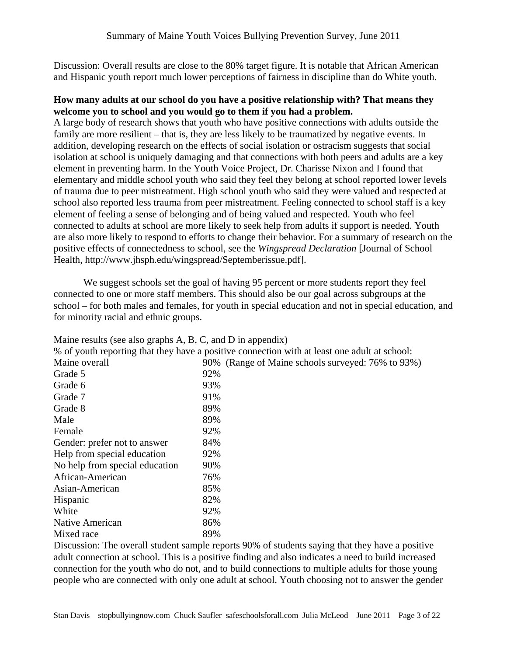Discussion: Overall results are close to the 80% target figure. It is notable that African American and Hispanic youth report much lower perceptions of fairness in discipline than do White youth.

# **How many adults at our school do you have a positive relationship with? That means they welcome you to school and you would go to them if you had a problem.**

A large body of research shows that youth who have positive connections with adults outside the family are more resilient – that is, they are less likely to be traumatized by negative events. In addition, developing research on the effects of social isolation or ostracism suggests that social isolation at school is uniquely damaging and that connections with both peers and adults are a key element in preventing harm. In the Youth Voice Project, Dr. Charisse Nixon and I found that elementary and middle school youth who said they feel they belong at school reported lower levels of trauma due to peer mistreatment. High school youth who said they were valued and respected at school also reported less trauma from peer mistreatment. Feeling connected to school staff is a key element of feeling a sense of belonging and of being valued and respected. Youth who feel connected to adults at school are more likely to seek help from adults if support is needed. Youth are also more likely to respond to efforts to change their behavior. For a summary of research on the positive effects of connectedness to school, see the *Wingspread Declaration* [Journal of School Health, http://www.jhsph.edu/wingspread/Septemberissue.pdf].

 We suggest schools set the goal of having 95 percent or more students report they feel connected to one or more staff members. This should also be our goal across subgroups at the school – for both males and females, for youth in special education and not in special education, and for minority racial and ethnic groups.

| $\mu$ and $\mu$ and $\mu$ and $\mu$ and $\mu$ , $\mu$ , $\mu$ , $\mu$ , $\mu$ , $\mu$ and $\mu$ and $\mu$ |                                                   |  |  |
|-----------------------------------------------------------------------------------------------------------|---------------------------------------------------|--|--|
| % of youth reporting that they have a positive connection with at least one adult at school:              |                                                   |  |  |
| Maine overall                                                                                             | 90% (Range of Maine schools surveyed: 76% to 93%) |  |  |
| Grade 5                                                                                                   | 92%                                               |  |  |
| Grade 6                                                                                                   | 93%                                               |  |  |
| Grade 7                                                                                                   | 91%                                               |  |  |
| Grade 8                                                                                                   | 89%                                               |  |  |
| Male                                                                                                      | 89%                                               |  |  |
| Female                                                                                                    | 92%                                               |  |  |
| Gender: prefer not to answer                                                                              | 84%                                               |  |  |
| Help from special education                                                                               | 92%                                               |  |  |
| No help from special education                                                                            | 90%                                               |  |  |
| African-American                                                                                          | 76%                                               |  |  |
| Asian-American                                                                                            | 85%                                               |  |  |
| Hispanic                                                                                                  | 82%                                               |  |  |
| White                                                                                                     | 92%                                               |  |  |
| Native American                                                                                           | 86%                                               |  |  |

Maine results (see also graphs  $A, B, C, A$  and  $D$  in appendix)

Mixed race 89%

Discussion: The overall student sample reports 90% of students saying that they have a positive adult connection at school. This is a positive finding and also indicates a need to build increased connection for the youth who do not, and to build connections to multiple adults for those young people who are connected with only one adult at school. Youth choosing not to answer the gender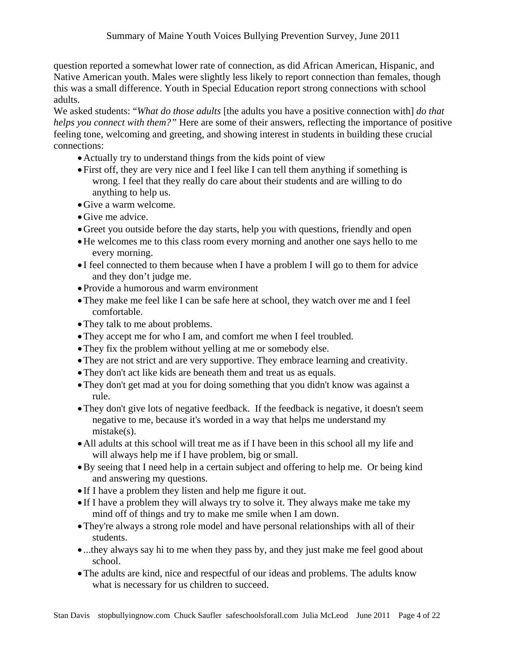question reported a somewhat lower rate of connection, as did African American, Hispanic, and Native American youth. Males were slightly less likely to report connection than females, though this was a small difference. Youth in Special Education report strong connections with school adults.

We asked students: "*What do those adults* [the adults you have a positive connection with] *do that helps you connect with them?"* Here are some of their answers, reflecting the importance of positive feeling tone, welcoming and greeting, and showing interest in students in building these crucial connections:

- •Actually try to understand things from the kids point of view
- First off, they are very nice and I feel like I can tell them anything if something is wrong. I feel that they really do care about their students and are willing to do anything to help us.
- •Give a warm welcome.
- Give me advice.
- •Greet you outside before the day starts, help you with questions, friendly and open
- •He welcomes me to this class room every morning and another one says hello to me every morning.
- I feel connected to them because when I have a problem I will go to them for advice and they don't judge me.
- Provide a humorous and warm environment
- •They make me feel like I can be safe here at school, they watch over me and I feel comfortable.
- They talk to me about problems.
- They accept me for who I am, and comfort me when I feel troubled.
- They fix the problem without yelling at me or somebody else.
- •They are not strict and are very supportive. They embrace learning and creativity.
- •They don't act like kids are beneath them and treat us as equals.
- They don't get mad at you for doing something that you didn't know was against a rule.
- They don't give lots of negative feedback. If the feedback is negative, it doesn't seem negative to me, because it's worded in a way that helps me understand my mistake(s).
- •All adults at this school will treat me as if I have been in this school all my life and will always help me if I have problem, big or small.
- •By seeing that I need help in a certain subject and offering to help me. Or being kind and answering my questions.
- If I have a problem they listen and help me figure it out.
- If I have a problem they will always try to solve it. They always make me take my mind off of things and try to make me smile when I am down.
- They're always a strong role model and have personal relationships with all of their students.
- ...they always say hi to me when they pass by, and they just make me feel good about school.
- •The adults are kind, nice and respectful of our ideas and problems. The adults know what is necessary for us children to succeed.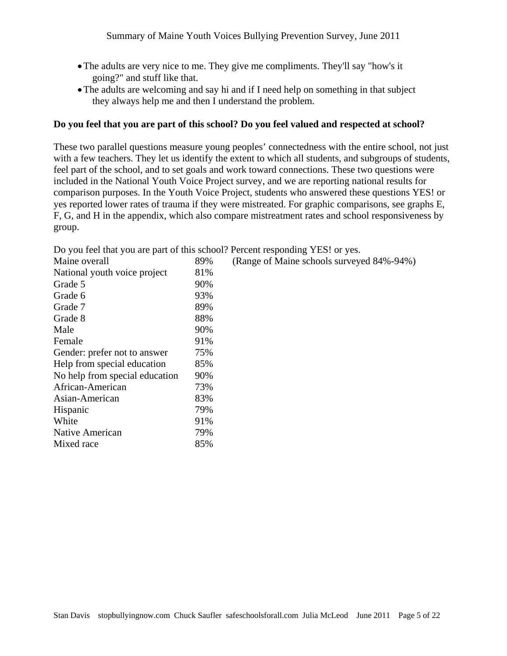- •The adults are very nice to me. They give me compliments. They'll say "how's it going?" and stuff like that.
- •The adults are welcoming and say hi and if I need help on something in that subject they always help me and then I understand the problem.

## **Do you feel that you are part of this school? Do you feel valued and respected at school?**

These two parallel questions measure young peoples' connectedness with the entire school, not just with a few teachers. They let us identify the extent to which all students, and subgroups of students, feel part of the school, and to set goals and work toward connections. These two questions were included in the National Youth Voice Project survey, and we are reporting national results for comparison purposes. In the Youth Voice Project, students who answered these questions YES! or yes reported lower rates of trauma if they were mistreated. For graphic comparisons, see graphs E, F, G, and H in the appendix, which also compare mistreatment rates and school responsiveness by group.

| Maine overall                  | 89% | (Range of Maine schools surveyed 84%-94%) |
|--------------------------------|-----|-------------------------------------------|
| National youth voice project   | 81% |                                           |
| Grade 5                        | 90% |                                           |
| Grade 6                        | 93% |                                           |
| Grade 7                        | 89% |                                           |
| Grade 8                        | 88% |                                           |
| Male                           | 90% |                                           |
| Female                         | 91% |                                           |
| Gender: prefer not to answer   | 75% |                                           |
| Help from special education    | 85% |                                           |
| No help from special education | 90% |                                           |
| African-American               | 73% |                                           |
| Asian-American                 | 83% |                                           |
| Hispanic                       | 79% |                                           |
| White                          | 91% |                                           |
| Native American                | 79% |                                           |
| Mixed race                     | 85% |                                           |
|                                |     |                                           |

Do you feel that you are part of this school? Percent responding YES! or yes.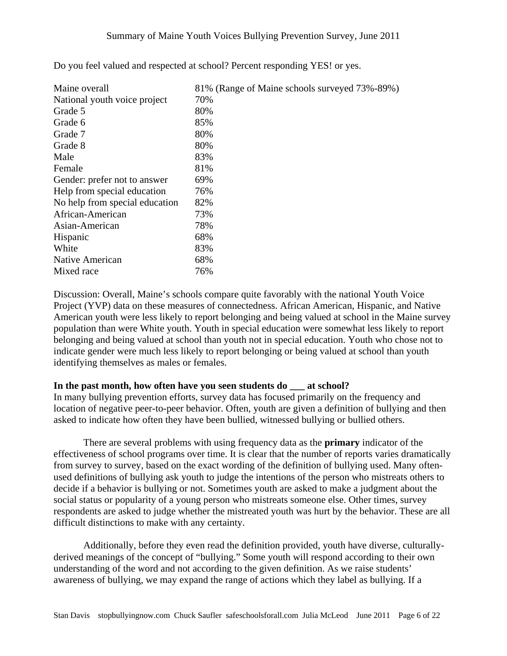| Maine overall                  | 81% (Range of Maine schools surveyed 73%-89%) |
|--------------------------------|-----------------------------------------------|
| National youth voice project   | 70%                                           |
| Grade 5                        | 80%                                           |
| Grade 6                        | 85%                                           |
| Grade 7                        | 80%                                           |
| Grade 8                        | 80%                                           |
| Male                           | 83%                                           |
| Female                         | 81%                                           |
| Gender: prefer not to answer   | 69%                                           |
| Help from special education    | 76%                                           |
| No help from special education | 82%                                           |
| African-American               | 73%                                           |
| Asian-American                 | 78%                                           |
| Hispanic                       | 68%                                           |
| White                          | 83%                                           |
| Native American                | 68%                                           |
| Mixed race                     | 76%                                           |

Do you feel valued and respected at school? Percent responding YES! or yes.

Discussion: Overall, Maine's schools compare quite favorably with the national Youth Voice Project (YVP) data on these measures of connectedness. African American, Hispanic, and Native American youth were less likely to report belonging and being valued at school in the Maine survey population than were White youth. Youth in special education were somewhat less likely to report belonging and being valued at school than youth not in special education. Youth who chose not to indicate gender were much less likely to report belonging or being valued at school than youth identifying themselves as males or females.

## In the past month, how often have you seen students do at school?

In many bullying prevention efforts, survey data has focused primarily on the frequency and location of negative peer-to-peer behavior. Often, youth are given a definition of bullying and then asked to indicate how often they have been bullied, witnessed bullying or bullied others.

There are several problems with using frequency data as the **primary** indicator of the effectiveness of school programs over time. It is clear that the number of reports varies dramatically from survey to survey, based on the exact wording of the definition of bullying used. Many oftenused definitions of bullying ask youth to judge the intentions of the person who mistreats others to decide if a behavior is bullying or not. Sometimes youth are asked to make a judgment about the social status or popularity of a young person who mistreats someone else. Other times, survey respondents are asked to judge whether the mistreated youth was hurt by the behavior. These are all difficult distinctions to make with any certainty.

Additionally, before they even read the definition provided, youth have diverse, culturallyderived meanings of the concept of "bullying." Some youth will respond according to their own understanding of the word and not according to the given definition. As we raise students' awareness of bullying, we may expand the range of actions which they label as bullying. If a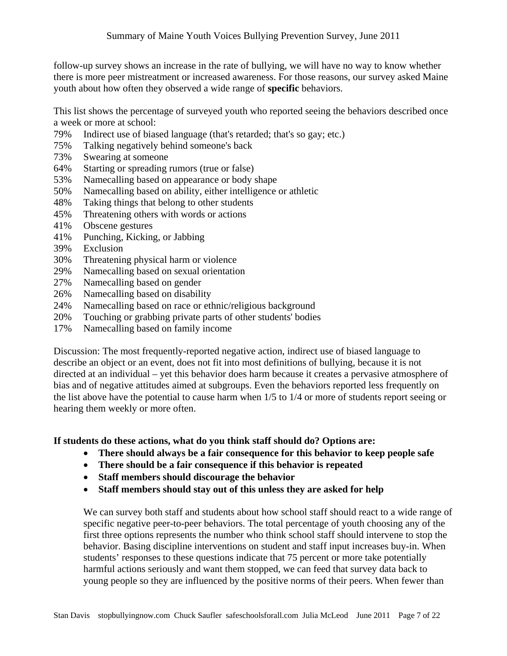follow-up survey shows an increase in the rate of bullying, we will have no way to know whether there is more peer mistreatment or increased awareness. For those reasons, our survey asked Maine youth about how often they observed a wide range of **specific** behaviors.

This list shows the percentage of surveyed youth who reported seeing the behaviors described once a week or more at school:

- 79% Indirect use of biased language (that's retarded; that's so gay; etc.)
- 75% Talking negatively behind someone's back
- 73% Swearing at someone
- 64% Starting or spreading rumors (true or false)
- 53% Namecalling based on appearance or body shape
- 50% Namecalling based on ability, either intelligence or athletic
- 48% Taking things that belong to other students
- 45% Threatening others with words or actions
- 41% Obscene gestures
- 41% Punching, Kicking, or Jabbing
- 39% Exclusion
- 30% Threatening physical harm or violence
- 29% Namecalling based on sexual orientation
- 27% Namecalling based on gender
- 26% Namecalling based on disability
- 24% Namecalling based on race or ethnic/religious background
- 20% Touching or grabbing private parts of other students' bodies
- 17% Namecalling based on family income

Discussion: The most frequently-reported negative action, indirect use of biased language to describe an object or an event, does not fit into most definitions of bullying, because it is not directed at an individual – yet this behavior does harm because it creates a pervasive atmosphere of bias and of negative attitudes aimed at subgroups. Even the behaviors reported less frequently on the list above have the potential to cause harm when 1/5 to 1/4 or more of students report seeing or hearing them weekly or more often.

**If students do these actions, what do you think staff should do? Options are:** 

- **There should always be a fair consequence for this behavior to keep people safe**
- **There should be a fair consequence if this behavior is repeated**
- **Staff members should discourage the behavior**
- **Staff members should stay out of this unless they are asked for help**

We can survey both staff and students about how school staff should react to a wide range of specific negative peer-to-peer behaviors. The total percentage of youth choosing any of the first three options represents the number who think school staff should intervene to stop the behavior. Basing discipline interventions on student and staff input increases buy-in. When students' responses to these questions indicate that 75 percent or more take potentially harmful actions seriously and want them stopped, we can feed that survey data back to young people so they are influenced by the positive norms of their peers. When fewer than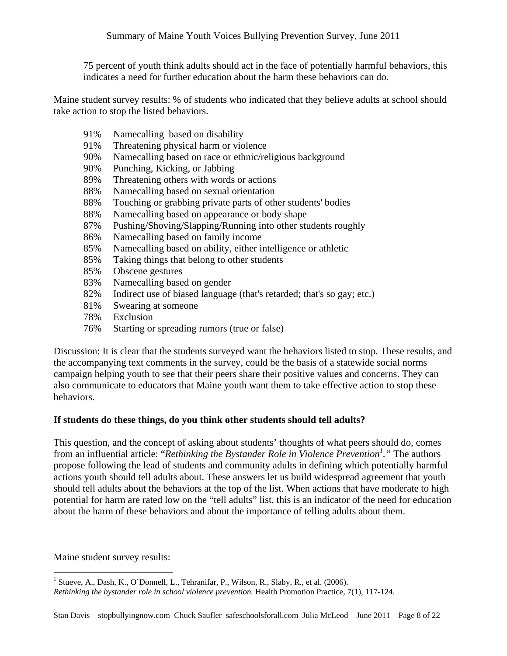75 percent of youth think adults should act in the face of potentially harmful behaviors, this indicates a need for further education about the harm these behaviors can do.

Maine student survey results: % of students who indicated that they believe adults at school should take action to stop the listed behaviors.

| 91% | Namecalling based on disability                                        |
|-----|------------------------------------------------------------------------|
| 91% | Threatening physical harm or violence                                  |
| 90% | Namecalling based on race or ethnic/religious background               |
| 90% | Punching, Kicking, or Jabbing                                          |
| 89% | Threatening others with words or actions                               |
| 88% | Namecalling based on sexual orientation                                |
| 88% | Touching or grabbing private parts of other students' bodies           |
| 88% | Namecalling based on appearance or body shape                          |
| 87% | Pushing/Shoving/Slapping/Running into other students roughly           |
| 86% | Namecalling based on family income.                                    |
| 85% | Namecalling based on ability, either intelligence or athletic          |
| 85% | Taking things that belong to other students                            |
| 85% | Obscene gestures                                                       |
| 83% | Namecalling based on gender                                            |
| 82% | Indirect use of biased language (that's retarded; that's so gay; etc.) |
| 81% | Swearing at someone                                                    |
| 78% | Exclusion                                                              |
| 76% | Starting or spreading rumors (true or false)                           |

Discussion: It is clear that the students surveyed want the behaviors listed to stop. These results, and the accompanying text comments in the survey, could be the basis of a statewide social norms campaign helping youth to see that their peers share their positive values and concerns. They can also communicate to educators that Maine youth want them to take effective action to stop these behaviors.

# **If students do these things, do you think other students should tell adults?**

This question, and the concept of asking about students' thoughts of what peers should do, comes from an influential article: "*Rethinking the Bystander Role in Violence Prevention1 ."* The authors propose following the lead of students and community adults in defining which potentially harmful actions youth should tell adults about. These answers let us build widespread agreement that youth should tell adults about the behaviors at the top of the list. When actions that have moderate to high potential for harm are rated low on the "tell adults" list, this is an indicator of the need for education about the harm of these behaviors and about the importance of telling adults about them.

Maine student survey results:

 1 Stueve, A., Dash, K., O'Donnell, L., Tehranifar, P., Wilson, R., Slaby, R., et al. (2006). *Rethinking the bystander role in school violence prevention.* Health Promotion Practice, 7(1), 117-124.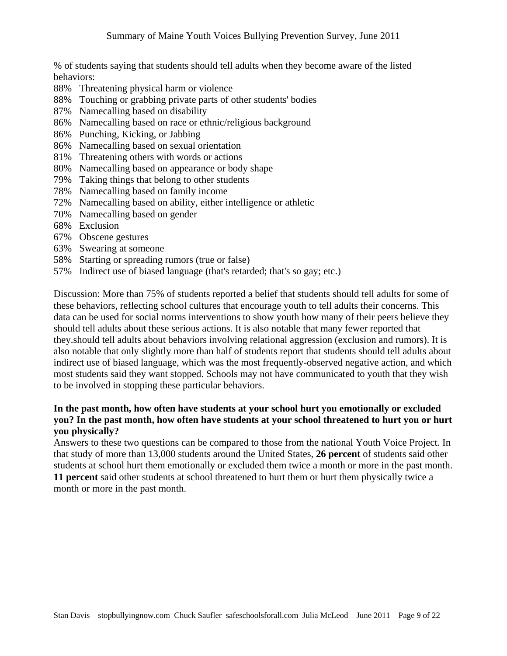% of students saying that students should tell adults when they become aware of the listed behaviors:

- 88% Threatening physical harm or violence
- 88% Touching or grabbing private parts of other students' bodies
- 87% Namecalling based on disability
- 86% Namecalling based on race or ethnic/religious background
- 86% Punching, Kicking, or Jabbing
- 86% Namecalling based on sexual orientation
- 81% Threatening others with words or actions
- 80% Namecalling based on appearance or body shape
- 79% Taking things that belong to other students
- 78% Namecalling based on family income
- 72% Namecalling based on ability, either intelligence or athletic
- 70% Namecalling based on gender
- 68% Exclusion
- 67% Obscene gestures
- 63% Swearing at someone
- 58% Starting or spreading rumors (true or false)
- 57% Indirect use of biased language (that's retarded; that's so gay; etc.)

Discussion: More than 75% of students reported a belief that students should tell adults for some of these behaviors, reflecting school cultures that encourage youth to tell adults their concerns. This data can be used for social norms interventions to show youth how many of their peers believe they should tell adults about these serious actions. It is also notable that many fewer reported that they.should tell adults about behaviors involving relational aggression (exclusion and rumors). It is also notable that only slightly more than half of students report that students should tell adults about indirect use of biased language, which was the most frequently-observed negative action, and which most students said they want stopped. Schools may not have communicated to youth that they wish to be involved in stopping these particular behaviors.

# **In the past month, how often have students at your school hurt you emotionally or excluded you? In the past month, how often have students at your school threatened to hurt you or hurt you physically?**

Answers to these two questions can be compared to those from the national Youth Voice Project. In that study of more than 13,000 students around the United States, **26 percent** of students said other students at school hurt them emotionally or excluded them twice a month or more in the past month. **11 percent** said other students at school threatened to hurt them or hurt them physically twice a month or more in the past month.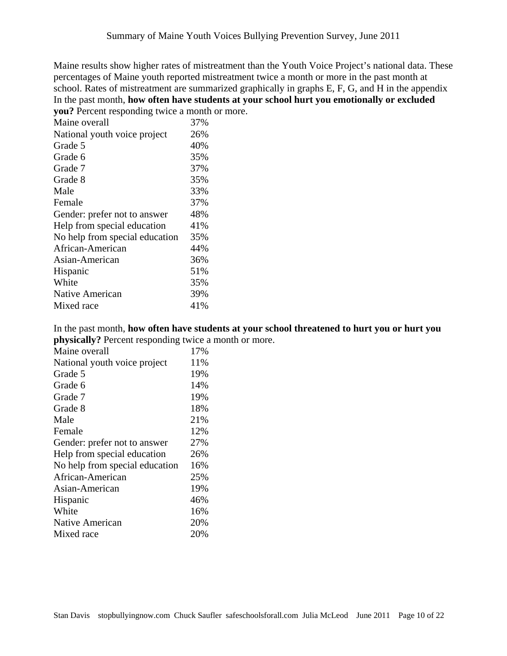Maine results show higher rates of mistreatment than the Youth Voice Project's national data. These percentages of Maine youth reported mistreatment twice a month or more in the past month at school. Rates of mistreatment are summarized graphically in graphs E, F, G, and H in the appendix In the past month, **how often have students at your school hurt you emotionally or excluded you?** Percent responding twice a month or more.

| Maine overall                  | 37% |
|--------------------------------|-----|
| National youth voice project   | 26% |
| Grade 5                        | 40% |
| Grade 6                        | 35% |
| Grade 7                        | 37% |
| Grade 8                        | 35% |
| Male                           | 33% |
| Female                         | 37% |
| Gender: prefer not to answer   | 48% |
| Help from special education    | 41% |
| No help from special education | 35% |
| African-American               | 44% |
| Asian-American                 | 36% |
| Hispanic                       | 51% |
| White                          | 35% |
| Native American                | 39% |
| Mixed race                     | 41% |

In the past month, **how often have students at your school threatened to hurt you or hurt you physically?** Percent responding twice a month or more.

| Maine overall                  | 17% |
|--------------------------------|-----|
| National youth voice project   | 11% |
| Grade 5                        | 19% |
| Grade 6                        | 14% |
| Grade 7                        | 19% |
| Grade 8                        | 18% |
| Male                           | 21% |
| Female                         | 12% |
| Gender: prefer not to answer   | 27% |
| Help from special education    | 26% |
| No help from special education | 16% |
| African-American               | 25% |
| Asian-American                 | 19% |
| Hispanic                       | 46% |
| White                          | 16% |
| Native American                | 20% |
| Mixed race                     | 20% |
|                                |     |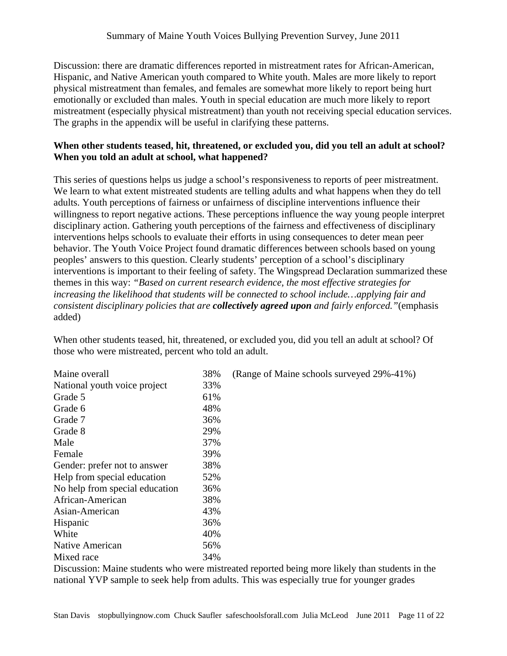Discussion: there are dramatic differences reported in mistreatment rates for African-American, Hispanic, and Native American youth compared to White youth. Males are more likely to report physical mistreatment than females, and females are somewhat more likely to report being hurt emotionally or excluded than males. Youth in special education are much more likely to report mistreatment (especially physical mistreatment) than youth not receiving special education services. The graphs in the appendix will be useful in clarifying these patterns.

# **When other students teased, hit, threatened, or excluded you, did you tell an adult at school? When you told an adult at school, what happened?**

This series of questions helps us judge a school's responsiveness to reports of peer mistreatment. We learn to what extent mistreated students are telling adults and what happens when they do tell adults. Youth perceptions of fairness or unfairness of discipline interventions influence their willingness to report negative actions. These perceptions influence the way young people interpret disciplinary action. Gathering youth perceptions of the fairness and effectiveness of disciplinary interventions helps schools to evaluate their efforts in using consequences to deter mean peer behavior. The Youth Voice Project found dramatic differences between schools based on young peoples' answers to this question. Clearly students' perception of a school's disciplinary interventions is important to their feeling of safety. The Wingspread Declaration summarized these themes in this way: *"Based on current research evidence, the most effective strategies for increasing the likelihood that students will be connected to school include…applying fair and consistent disciplinary policies that are collectively agreed upon and fairly enforced."*(emphasis added)

When other students teased, hit, threatened, or excluded you, did you tell an adult at school? Of those who were mistreated, percent who told an adult.

| Maine overall                  | 38% | (Range of Maine schools surveyed 29%-41%) |
|--------------------------------|-----|-------------------------------------------|
| National youth voice project   | 33% |                                           |
| Grade 5                        | 61% |                                           |
| Grade 6                        | 48% |                                           |
| Grade 7                        | 36% |                                           |
| Grade 8                        | 29% |                                           |
| Male                           | 37% |                                           |
| Female                         | 39% |                                           |
| Gender: prefer not to answer   | 38% |                                           |
| Help from special education    | 52% |                                           |
| No help from special education | 36% |                                           |
| African-American               | 38% |                                           |
| Asian-American                 | 43% |                                           |
| Hispanic                       | 36% |                                           |
| White                          | 40% |                                           |
| Native American                | 56% |                                           |
| Mixed race                     | 34% |                                           |

Discussion: Maine students who were mistreated reported being more likely than students in the national YVP sample to seek help from adults. This was especially true for younger grades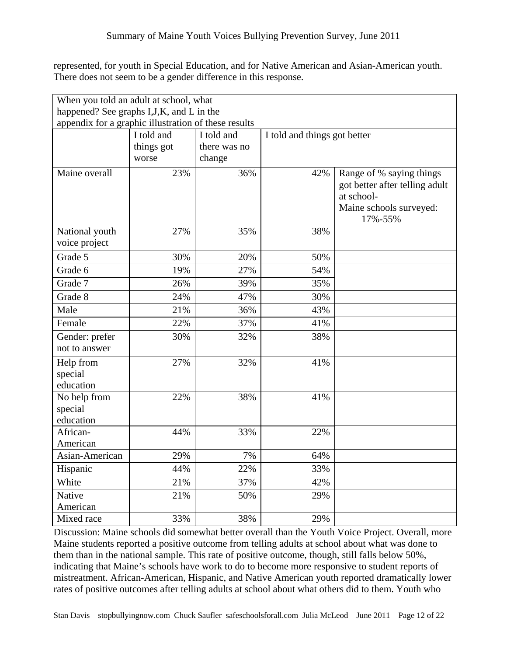represented, for youth in Special Education, and for Native American and Asian-American youth. There does not seem to be a gender difference in this response.

| When you told an adult at school, what               |            |              |                              |                                                                                                                |
|------------------------------------------------------|------------|--------------|------------------------------|----------------------------------------------------------------------------------------------------------------|
| happened? See graphs I, J, K, and L in the           |            |              |                              |                                                                                                                |
| appendix for a graphic illustration of these results |            |              |                              |                                                                                                                |
|                                                      | I told and | I told and   | I told and things got better |                                                                                                                |
|                                                      | things got | there was no |                              |                                                                                                                |
|                                                      | worse      | change       |                              |                                                                                                                |
| Maine overall                                        | 23%        | 36%          | 42%                          | Range of % saying things<br>got better after telling adult<br>at school-<br>Maine schools surveyed:<br>17%-55% |
| National youth<br>voice project                      | 27%        | 35%          | 38%                          |                                                                                                                |
| Grade 5                                              | 30%        | 20%          | 50%                          |                                                                                                                |
| Grade 6                                              | 19%        | 27%          | 54%                          |                                                                                                                |
| Grade 7                                              | 26%        | 39%          | 35%                          |                                                                                                                |
| Grade 8                                              | 24%        | 47%          | 30%                          |                                                                                                                |
| Male                                                 | 21%        | 36%          | 43%                          |                                                                                                                |
| Female                                               | 22%        | 37%          | 41%                          |                                                                                                                |
| Gender: prefer<br>not to answer                      | 30%        | 32%          | 38%                          |                                                                                                                |
| Help from<br>special<br>education                    | 27%        | 32%          | 41%                          |                                                                                                                |
| No help from<br>special<br>education                 | 22%        | 38%          | 41%                          |                                                                                                                |
| African-                                             | 44%        | 33%          | 22%                          |                                                                                                                |
| American                                             |            |              |                              |                                                                                                                |
| Asian-American                                       | 29%        | 7%           | 64%                          |                                                                                                                |
| Hispanic                                             | 44%        | 22%          | 33%                          |                                                                                                                |
| White                                                | 21%        | 37%          | 42%                          |                                                                                                                |
| <b>Native</b>                                        | 21%        | 50%          | 29%                          |                                                                                                                |
| American                                             |            |              |                              |                                                                                                                |
| Mixed race                                           | 33%        | 38%          | 29%                          |                                                                                                                |

Discussion: Maine schools did somewhat better overall than the Youth Voice Project. Overall, more Maine students reported a positive outcome from telling adults at school about what was done to them than in the national sample. This rate of positive outcome, though, still falls below 50%, indicating that Maine's schools have work to do to become more responsive to student reports of mistreatment. African-American, Hispanic, and Native American youth reported dramatically lower rates of positive outcomes after telling adults at school about what others did to them. Youth who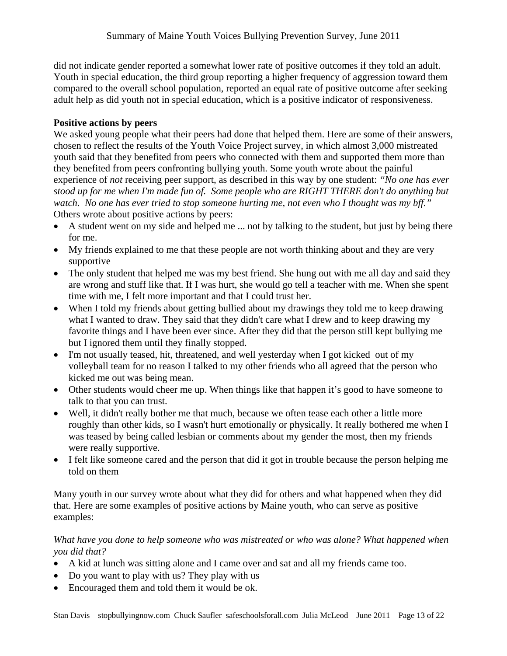did not indicate gender reported a somewhat lower rate of positive outcomes if they told an adult. Youth in special education, the third group reporting a higher frequency of aggression toward them compared to the overall school population, reported an equal rate of positive outcome after seeking adult help as did youth not in special education, which is a positive indicator of responsiveness.

# **Positive actions by peers**

We asked young people what their peers had done that helped them. Here are some of their answers, chosen to reflect the results of the Youth Voice Project survey, in which almost 3,000 mistreated youth said that they benefited from peers who connected with them and supported them more than they benefited from peers confronting bullying youth. Some youth wrote about the painful experience of *not* receiving peer support, as described in this way by one student: *"No one has ever stood up for me when I'm made fun of. Some people who are RIGHT THERE don't do anything but watch. No one has ever tried to stop someone hurting me, not even who I thought was my bff."* Others wrote about positive actions by peers:

- A student went on my side and helped me ... not by talking to the student, but just by being there for me.
- My friends explained to me that these people are not worth thinking about and they are very supportive
- The only student that helped me was my best friend. She hung out with me all day and said they are wrong and stuff like that. If I was hurt, she would go tell a teacher with me. When she spent time with me, I felt more important and that I could trust her.
- When I told my friends about getting bullied about my drawings they told me to keep drawing what I wanted to draw. They said that they didn't care what I drew and to keep drawing my favorite things and I have been ever since. After they did that the person still kept bullying me but I ignored them until they finally stopped.
- I'm not usually teased, hit, threatened, and well yesterday when I got kicked out of my volleyball team for no reason I talked to my other friends who all agreed that the person who kicked me out was being mean.
- Other students would cheer me up. When things like that happen it's good to have someone to talk to that you can trust.
- Well, it didn't really bother me that much, because we often tease each other a little more roughly than other kids, so I wasn't hurt emotionally or physically. It really bothered me when I was teased by being called lesbian or comments about my gender the most, then my friends were really supportive.
- I felt like someone cared and the person that did it got in trouble because the person helping me told on them

Many youth in our survey wrote about what they did for others and what happened when they did that. Here are some examples of positive actions by Maine youth, who can serve as positive examples:

# *What have you done to help someone who was mistreated or who was alone? What happened when you did that?*

- A kid at lunch was sitting alone and I came over and sat and all my friends came too.
- Do you want to play with us? They play with us
- Encouraged them and told them it would be ok.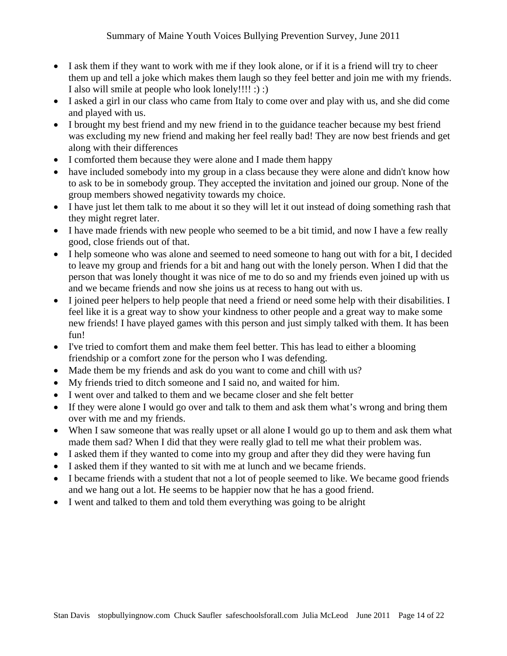- I ask them if they want to work with me if they look alone, or if it is a friend will try to cheer them up and tell a joke which makes them laugh so they feel better and join me with my friends. I also will smile at people who look lonely!!!! :) :)
- I asked a girl in our class who came from Italy to come over and play with us, and she did come and played with us.
- I brought my best friend and my new friend in to the guidance teacher because my best friend was excluding my new friend and making her feel really bad! They are now best friends and get along with their differences
- I comforted them because they were alone and I made them happy
- have included somebody into my group in a class because they were alone and didn't know how to ask to be in somebody group. They accepted the invitation and joined our group. None of the group members showed negativity towards my choice.
- I have just let them talk to me about it so they will let it out instead of doing something rash that they might regret later.
- I have made friends with new people who seemed to be a bit timid, and now I have a few really good, close friends out of that.
- I help someone who was alone and seemed to need someone to hang out with for a bit, I decided to leave my group and friends for a bit and hang out with the lonely person. When I did that the person that was lonely thought it was nice of me to do so and my friends even joined up with us and we became friends and now she joins us at recess to hang out with us.
- I joined peer helpers to help people that need a friend or need some help with their disabilities. I feel like it is a great way to show your kindness to other people and a great way to make some new friends! I have played games with this person and just simply talked with them. It has been fun!
- I've tried to comfort them and make them feel better. This has lead to either a blooming friendship or a comfort zone for the person who I was defending.
- Made them be my friends and ask do you want to come and chill with us?
- My friends tried to ditch someone and I said no, and waited for him.
- I went over and talked to them and we became closer and she felt better
- If they were alone I would go over and talk to them and ask them what's wrong and bring them over with me and my friends.
- When I saw someone that was really upset or all alone I would go up to them and ask them what made them sad? When I did that they were really glad to tell me what their problem was.
- I asked them if they wanted to come into my group and after they did they were having fun
- I asked them if they wanted to sit with me at lunch and we became friends.
- I became friends with a student that not a lot of people seemed to like. We became good friends and we hang out a lot. He seems to be happier now that he has a good friend.
- I went and talked to them and told them everything was going to be alright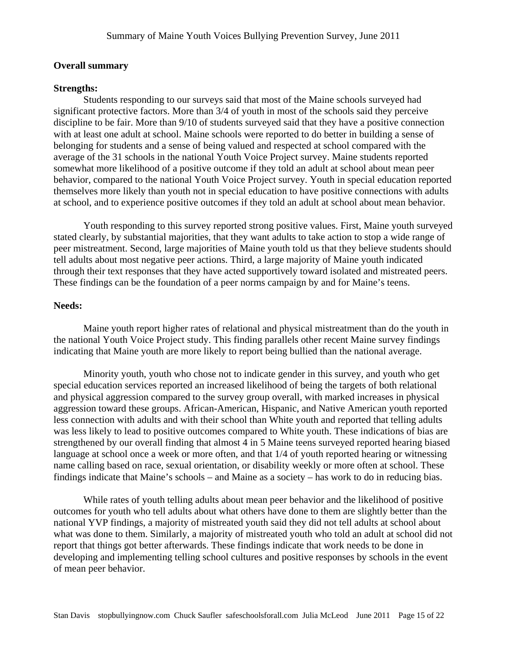#### **Overall summary**

#### **Strengths:**

Students responding to our surveys said that most of the Maine schools surveyed had significant protective factors. More than 3/4 of youth in most of the schools said they perceive discipline to be fair. More than 9/10 of students surveyed said that they have a positive connection with at least one adult at school. Maine schools were reported to do better in building a sense of belonging for students and a sense of being valued and respected at school compared with the average of the 31 schools in the national Youth Voice Project survey. Maine students reported somewhat more likelihood of a positive outcome if they told an adult at school about mean peer behavior, compared to the national Youth Voice Project survey. Youth in special education reported themselves more likely than youth not in special education to have positive connections with adults at school, and to experience positive outcomes if they told an adult at school about mean behavior.

Youth responding to this survey reported strong positive values. First, Maine youth surveyed stated clearly, by substantial majorities, that they want adults to take action to stop a wide range of peer mistreatment. Second, large majorities of Maine youth told us that they believe students should tell adults about most negative peer actions. Third, a large majority of Maine youth indicated through their text responses that they have acted supportively toward isolated and mistreated peers. These findings can be the foundation of a peer norms campaign by and for Maine's teens.

### **Needs:**

Maine youth report higher rates of relational and physical mistreatment than do the youth in the national Youth Voice Project study. This finding parallels other recent Maine survey findings indicating that Maine youth are more likely to report being bullied than the national average.

Minority youth, youth who chose not to indicate gender in this survey, and youth who get special education services reported an increased likelihood of being the targets of both relational and physical aggression compared to the survey group overall, with marked increases in physical aggression toward these groups. African-American, Hispanic, and Native American youth reported less connection with adults and with their school than White youth and reported that telling adults was less likely to lead to positive outcomes compared to White youth. These indications of bias are strengthened by our overall finding that almost 4 in 5 Maine teens surveyed reported hearing biased language at school once a week or more often, and that 1/4 of youth reported hearing or witnessing name calling based on race, sexual orientation, or disability weekly or more often at school. These findings indicate that Maine's schools – and Maine as a society – has work to do in reducing bias.

While rates of youth telling adults about mean peer behavior and the likelihood of positive outcomes for youth who tell adults about what others have done to them are slightly better than the national YVP findings, a majority of mistreated youth said they did not tell adults at school about what was done to them. Similarly, a majority of mistreated youth who told an adult at school did not report that things got better afterwards. These findings indicate that work needs to be done in developing and implementing telling school cultures and positive responses by schools in the event of mean peer behavior.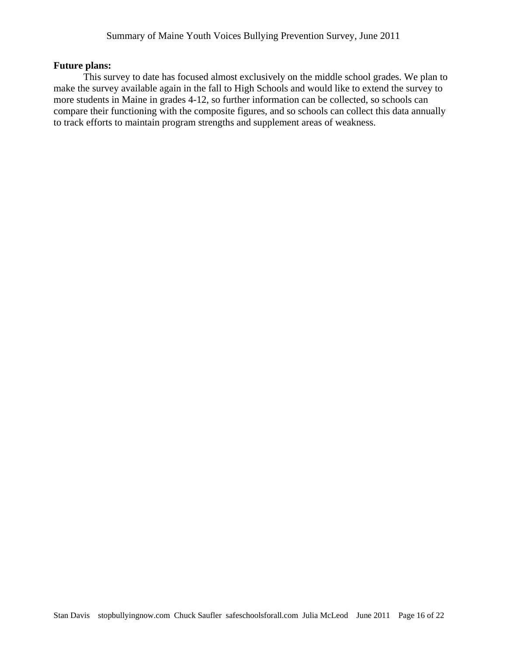### **Future plans:**

This survey to date has focused almost exclusively on the middle school grades. We plan to make the survey available again in the fall to High Schools and would like to extend the survey to more students in Maine in grades 4-12, so further information can be collected, so schools can compare their functioning with the composite figures, and so schools can collect this data annually to track efforts to maintain program strengths and supplement areas of weakness.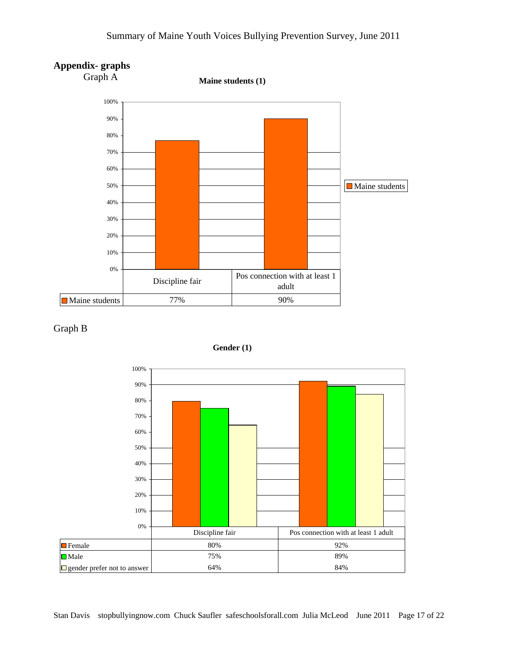# Summary of Maine Youth Voices Bullying Prevention Survey, June 2011







**Gender (1)**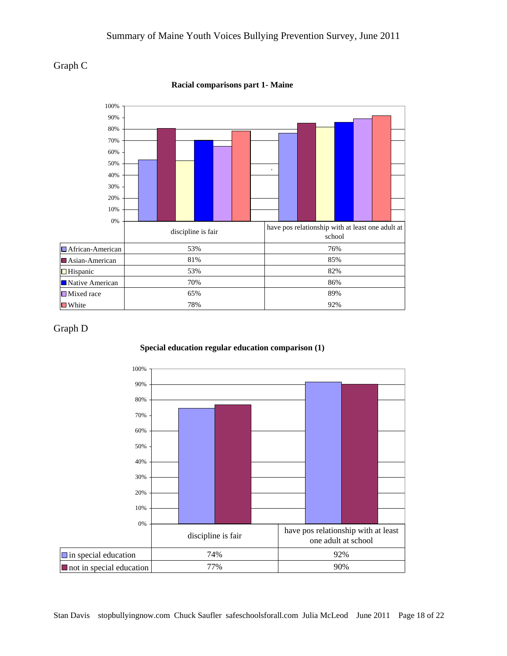



#### **Racial comparisons part 1- Maine**

### Graph D



#### **Special education regular education comparison (1)**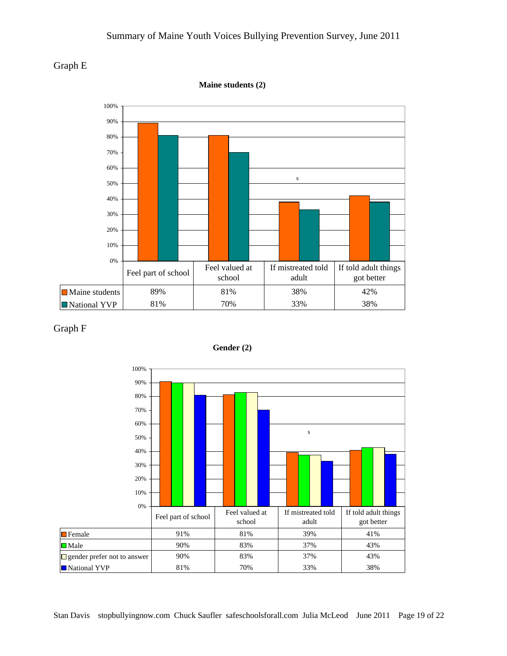## Summary of Maine Youth Voices Bullying Prevention Survey, June 2011



**Maine students (2)**



#### Graph F



**Gender (2)**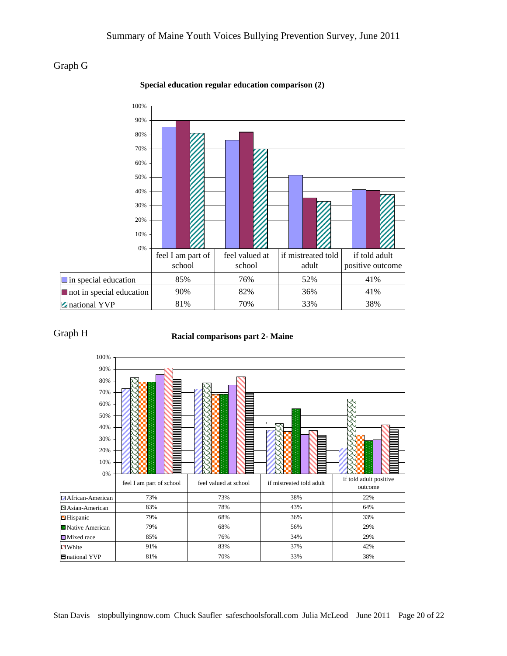# Graph G



#### **Special education regular education comparison (2)**

### Graph H

#### **Racial comparisons part 2- Maine**

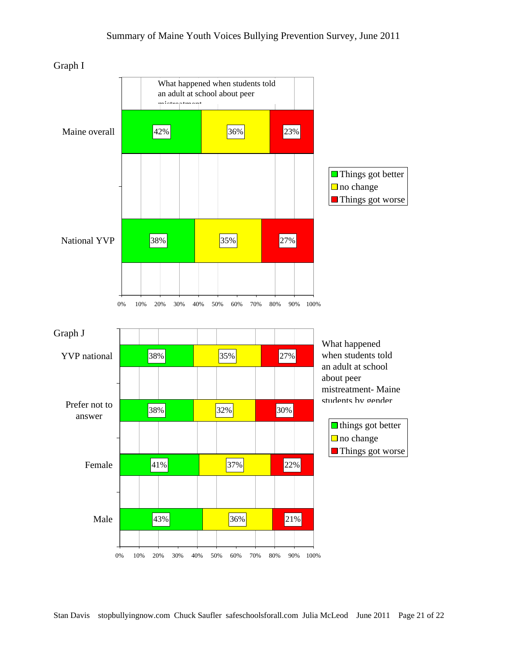

Graph I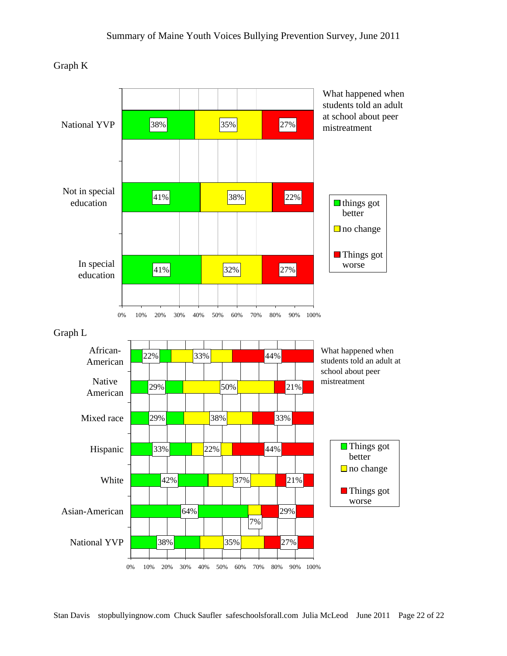Graph K

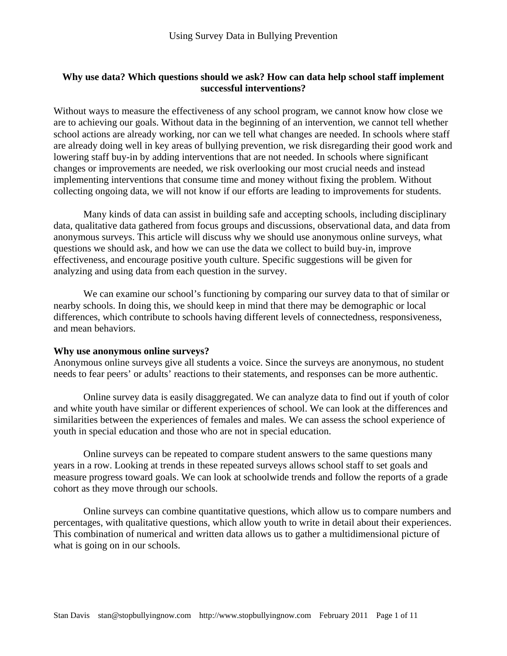## **Why use data? Which questions should we ask? How can data help school staff implement successful interventions?**

Without ways to measure the effectiveness of any school program, we cannot know how close we are to achieving our goals. Without data in the beginning of an intervention, we cannot tell whether school actions are already working, nor can we tell what changes are needed. In schools where staff are already doing well in key areas of bullying prevention, we risk disregarding their good work and lowering staff buy-in by adding interventions that are not needed. In schools where significant changes or improvements are needed, we risk overlooking our most crucial needs and instead implementing interventions that consume time and money without fixing the problem. Without collecting ongoing data, we will not know if our efforts are leading to improvements for students.

Many kinds of data can assist in building safe and accepting schools, including disciplinary data, qualitative data gathered from focus groups and discussions, observational data, and data from anonymous surveys. This article will discuss why we should use anonymous online surveys, what questions we should ask, and how we can use the data we collect to build buy-in, improve effectiveness, and encourage positive youth culture. Specific suggestions will be given for analyzing and using data from each question in the survey.

We can examine our school's functioning by comparing our survey data to that of similar or nearby schools. In doing this, we should keep in mind that there may be demographic or local differences, which contribute to schools having different levels of connectedness, responsiveness, and mean behaviors.

#### **Why use anonymous online surveys?**

Anonymous online surveys give all students a voice. Since the surveys are anonymous, no student needs to fear peers' or adults' reactions to their statements, and responses can be more authentic.

Online survey data is easily disaggregated. We can analyze data to find out if youth of color and white youth have similar or different experiences of school. We can look at the differences and similarities between the experiences of females and males. We can assess the school experience of youth in special education and those who are not in special education.

Online surveys can be repeated to compare student answers to the same questions many years in a row. Looking at trends in these repeated surveys allows school staff to set goals and measure progress toward goals. We can look at schoolwide trends and follow the reports of a grade cohort as they move through our schools.

Online surveys can combine quantitative questions, which allow us to compare numbers and percentages, with qualitative questions, which allow youth to write in detail about their experiences. This combination of numerical and written data allows us to gather a multidimensional picture of what is going on in our schools.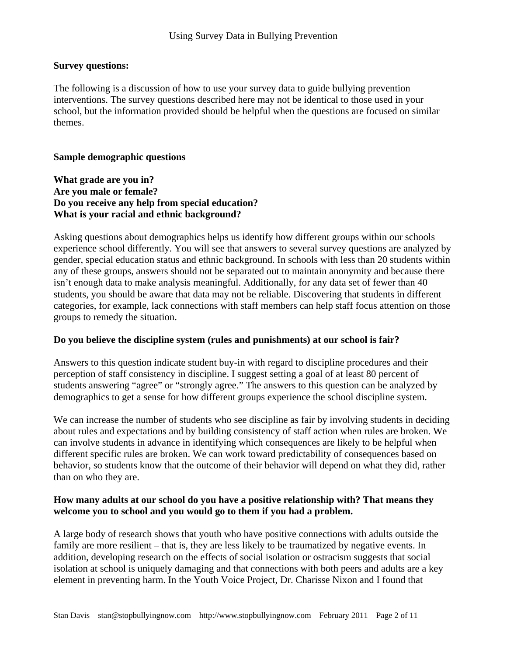## **Survey questions:**

The following is a discussion of how to use your survey data to guide bullying prevention interventions. The survey questions described here may not be identical to those used in your school, but the information provided should be helpful when the questions are focused on similar themes.

### **Sample demographic questions**

**What grade are you in? Are you male or female? Do you receive any help from special education? What is your racial and ethnic background?** 

Asking questions about demographics helps us identify how different groups within our schools experience school differently. You will see that answers to several survey questions are analyzed by gender, special education status and ethnic background. In schools with less than 20 students within any of these groups, answers should not be separated out to maintain anonymity and because there isn't enough data to make analysis meaningful. Additionally, for any data set of fewer than 40 students, you should be aware that data may not be reliable. Discovering that students in different categories, for example, lack connections with staff members can help staff focus attention on those groups to remedy the situation.

## **Do you believe the discipline system (rules and punishments) at our school is fair?**

Answers to this question indicate student buy-in with regard to discipline procedures and their perception of staff consistency in discipline. I suggest setting a goal of at least 80 percent of students answering "agree" or "strongly agree." The answers to this question can be analyzed by demographics to get a sense for how different groups experience the school discipline system.

We can increase the number of students who see discipline as fair by involving students in deciding about rules and expectations and by building consistency of staff action when rules are broken. We can involve students in advance in identifying which consequences are likely to be helpful when different specific rules are broken. We can work toward predictability of consequences based on behavior, so students know that the outcome of their behavior will depend on what they did, rather than on who they are.

## **How many adults at our school do you have a positive relationship with? That means they welcome you to school and you would go to them if you had a problem.**

A large body of research shows that youth who have positive connections with adults outside the family are more resilient – that is, they are less likely to be traumatized by negative events. In addition, developing research on the effects of social isolation or ostracism suggests that social isolation at school is uniquely damaging and that connections with both peers and adults are a key element in preventing harm. In the Youth Voice Project, Dr. Charisse Nixon and I found that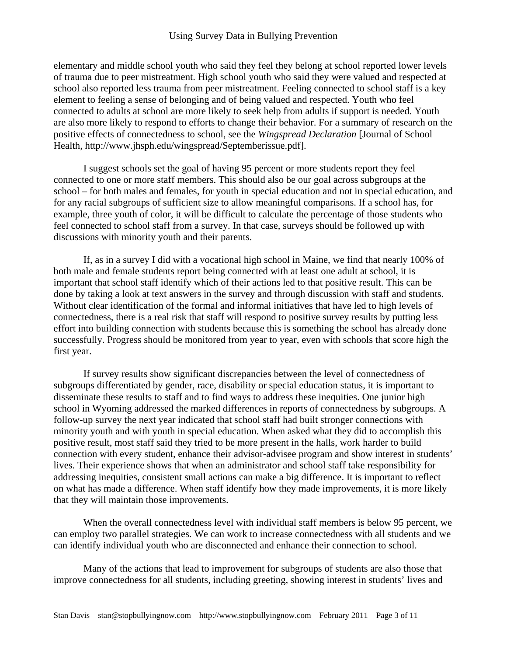## Using Survey Data in Bullying Prevention

elementary and middle school youth who said they feel they belong at school reported lower levels of trauma due to peer mistreatment. High school youth who said they were valued and respected at school also reported less trauma from peer mistreatment. Feeling connected to school staff is a key element to feeling a sense of belonging and of being valued and respected. Youth who feel connected to adults at school are more likely to seek help from adults if support is needed. Youth are also more likely to respond to efforts to change their behavior. For a summary of research on the positive effects of connectedness to school, see the *Wingspread Declaration* [Journal of School Health, http://www.jhsph.edu/wingspread/Septemberissue.pdf].

 I suggest schools set the goal of having 95 percent or more students report they feel connected to one or more staff members. This should also be our goal across subgroups at the school – for both males and females, for youth in special education and not in special education, and for any racial subgroups of sufficient size to allow meaningful comparisons. If a school has, for example, three youth of color, it will be difficult to calculate the percentage of those students who feel connected to school staff from a survey. In that case, surveys should be followed up with discussions with minority youth and their parents.

 If, as in a survey I did with a vocational high school in Maine, we find that nearly 100% of both male and female students report being connected with at least one adult at school, it is important that school staff identify which of their actions led to that positive result. This can be done by taking a look at text answers in the survey and through discussion with staff and students. Without clear identification of the formal and informal initiatives that have led to high levels of connectedness, there is a real risk that staff will respond to positive survey results by putting less effort into building connection with students because this is something the school has already done successfully. Progress should be monitored from year to year, even with schools that score high the first year.

 If survey results show significant discrepancies between the level of connectedness of subgroups differentiated by gender, race, disability or special education status, it is important to disseminate these results to staff and to find ways to address these inequities. One junior high school in Wyoming addressed the marked differences in reports of connectedness by subgroups. A follow-up survey the next year indicated that school staff had built stronger connections with minority youth and with youth in special education. When asked what they did to accomplish this positive result, most staff said they tried to be more present in the halls, work harder to build connection with every student, enhance their advisor-advisee program and show interest in students' lives. Their experience shows that when an administrator and school staff take responsibility for addressing inequities, consistent small actions can make a big difference. It is important to reflect on what has made a difference. When staff identify how they made improvements, it is more likely that they will maintain those improvements.

When the overall connectedness level with individual staff members is below 95 percent, we can employ two parallel strategies. We can work to increase connectedness with all students and we can identify individual youth who are disconnected and enhance their connection to school.

Many of the actions that lead to improvement for subgroups of students are also those that improve connectedness for all students, including greeting, showing interest in students' lives and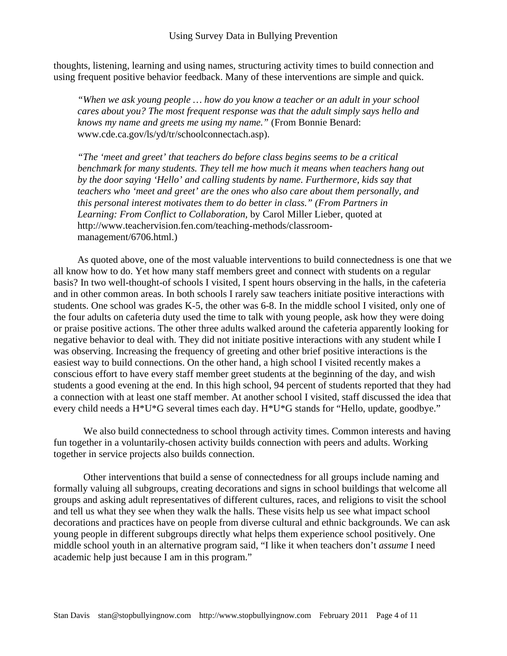thoughts, listening, learning and using names, structuring activity times to build connection and using frequent positive behavior feedback. Many of these interventions are simple and quick.

*"When we ask young people … how do you know a teacher or an adult in your school cares about you? The most frequent response was that the adult simply says hello and knows my name and greets me using my name."* (From Bonnie Benard: www.cde.ca.gov/ls/yd/tr/schoolconnectach.asp).

*"The 'meet and greet' that teachers do before class begins seems to be a critical benchmark for many students. They tell me how much it means when teachers hang out by the door saying 'Hello' and calling students by name. Furthermore, kids say that teachers who 'meet and greet' are the ones who also care about them personally, and this personal interest motivates them to do better in class." (From Partners in Learning: From Conflict to Collaboration,* by Carol Miller Lieber, quoted at http://www.teachervision.fen.com/teaching-methods/classroommanagement/6706.html.)

As quoted above, one of the most valuable interventions to build connectedness is one that we all know how to do. Yet how many staff members greet and connect with students on a regular basis? In two well-thought-of schools I visited, I spent hours observing in the halls, in the cafeteria and in other common areas. In both schools I rarely saw teachers initiate positive interactions with students. One school was grades K-5, the other was 6-8. In the middle school I visited, only one of the four adults on cafeteria duty used the time to talk with young people, ask how they were doing or praise positive actions. The other three adults walked around the cafeteria apparently looking for negative behavior to deal with. They did not initiate positive interactions with any student while I was observing. Increasing the frequency of greeting and other brief positive interactions is the easiest way to build connections. On the other hand, a high school I visited recently makes a conscious effort to have every staff member greet students at the beginning of the day, and wish students a good evening at the end. In this high school, 94 percent of students reported that they had a connection with at least one staff member. At another school I visited, staff discussed the idea that every child needs a H\*U\*G several times each day. H\*U\*G stands for "Hello, update, goodbye."

 We also build connectedness to school through activity times. Common interests and having fun together in a voluntarily-chosen activity builds connection with peers and adults. Working together in service projects also builds connection.

Other interventions that build a sense of connectedness for all groups include naming and formally valuing all subgroups, creating decorations and signs in school buildings that welcome all groups and asking adult representatives of different cultures, races, and religions to visit the school and tell us what they see when they walk the halls. These visits help us see what impact school decorations and practices have on people from diverse cultural and ethnic backgrounds. We can ask young people in different subgroups directly what helps them experience school positively. One middle school youth in an alternative program said, "I like it when teachers don't *assume* I need academic help just because I am in this program."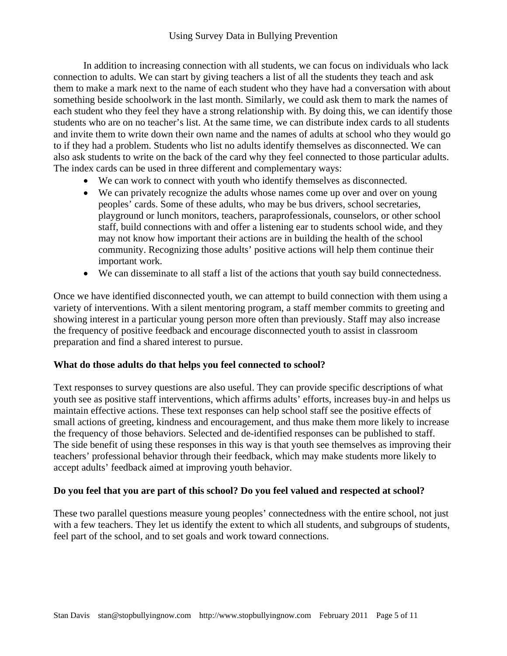In addition to increasing connection with all students, we can focus on individuals who lack connection to adults. We can start by giving teachers a list of all the students they teach and ask them to make a mark next to the name of each student who they have had a conversation with about something beside schoolwork in the last month. Similarly, we could ask them to mark the names of each student who they feel they have a strong relationship with. By doing this, we can identify those students who are on no teacher's list. At the same time, we can distribute index cards to all students and invite them to write down their own name and the names of adults at school who they would go to if they had a problem. Students who list no adults identify themselves as disconnected. We can also ask students to write on the back of the card why they feel connected to those particular adults. The index cards can be used in three different and complementary ways:

- We can work to connect with youth who identify themselves as disconnected.
- We can privately recognize the adults whose names come up over and over on young peoples' cards. Some of these adults, who may be bus drivers, school secretaries, playground or lunch monitors, teachers, paraprofessionals, counselors, or other school staff, build connections with and offer a listening ear to students school wide, and they may not know how important their actions are in building the health of the school community. Recognizing those adults' positive actions will help them continue their important work.
- We can disseminate to all staff a list of the actions that youth say build connectedness.

Once we have identified disconnected youth, we can attempt to build connection with them using a variety of interventions. With a silent mentoring program, a staff member commits to greeting and showing interest in a particular young person more often than previously. Staff may also increase the frequency of positive feedback and encourage disconnected youth to assist in classroom preparation and find a shared interest to pursue.

## **What do those adults do that helps you feel connected to school?**

Text responses to survey questions are also useful. They can provide specific descriptions of what youth see as positive staff interventions, which affirms adults' efforts, increases buy-in and helps us maintain effective actions. These text responses can help school staff see the positive effects of small actions of greeting, kindness and encouragement, and thus make them more likely to increase the frequency of those behaviors. Selected and de-identified responses can be published to staff. The side benefit of using these responses in this way is that youth see themselves as improving their teachers' professional behavior through their feedback, which may make students more likely to accept adults' feedback aimed at improving youth behavior.

## **Do you feel that you are part of this school? Do you feel valued and respected at school?**

These two parallel questions measure young peoples' connectedness with the entire school, not just with a few teachers. They let us identify the extent to which all students, and subgroups of students, feel part of the school, and to set goals and work toward connections.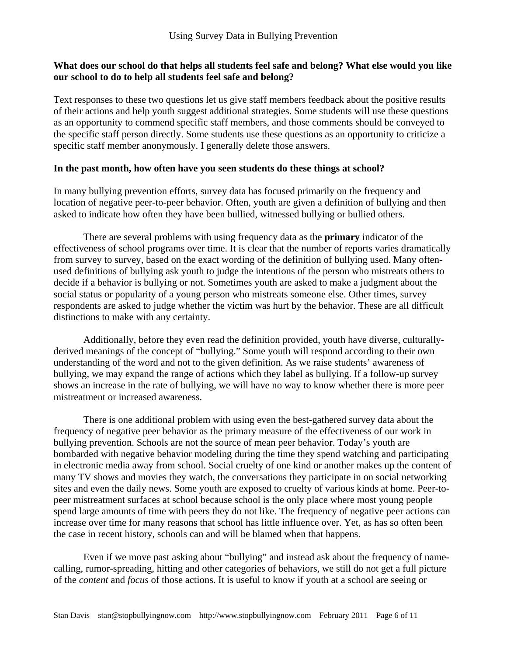## **What does our school do that helps all students feel safe and belong? What else would you like our school to do to help all students feel safe and belong?**

Text responses to these two questions let us give staff members feedback about the positive results of their actions and help youth suggest additional strategies. Some students will use these questions as an opportunity to commend specific staff members, and those comments should be conveyed to the specific staff person directly. Some students use these questions as an opportunity to criticize a specific staff member anonymously. I generally delete those answers.

## **In the past month, how often have you seen students do these things at school?**

In many bullying prevention efforts, survey data has focused primarily on the frequency and location of negative peer-to-peer behavior. Often, youth are given a definition of bullying and then asked to indicate how often they have been bullied, witnessed bullying or bullied others.

There are several problems with using frequency data as the **primary** indicator of the effectiveness of school programs over time. It is clear that the number of reports varies dramatically from survey to survey, based on the exact wording of the definition of bullying used. Many oftenused definitions of bullying ask youth to judge the intentions of the person who mistreats others to decide if a behavior is bullying or not. Sometimes youth are asked to make a judgment about the social status or popularity of a young person who mistreats someone else. Other times, survey respondents are asked to judge whether the victim was hurt by the behavior. These are all difficult distinctions to make with any certainty.

Additionally, before they even read the definition provided, youth have diverse, culturallyderived meanings of the concept of "bullying." Some youth will respond according to their own understanding of the word and not to the given definition. As we raise students' awareness of bullying, we may expand the range of actions which they label as bullying. If a follow-up survey shows an increase in the rate of bullying, we will have no way to know whether there is more peer mistreatment or increased awareness.

There is one additional problem with using even the best-gathered survey data about the frequency of negative peer behavior as the primary measure of the effectiveness of our work in bullying prevention. Schools are not the source of mean peer behavior. Today's youth are bombarded with negative behavior modeling during the time they spend watching and participating in electronic media away from school. Social cruelty of one kind or another makes up the content of many TV shows and movies they watch, the conversations they participate in on social networking sites and even the daily news. Some youth are exposed to cruelty of various kinds at home. Peer-topeer mistreatment surfaces at school because school is the only place where most young people spend large amounts of time with peers they do not like. The frequency of negative peer actions can increase over time for many reasons that school has little influence over. Yet, as has so often been the case in recent history, schools can and will be blamed when that happens.

Even if we move past asking about "bullying" and instead ask about the frequency of namecalling, rumor-spreading, hitting and other categories of behaviors, we still do not get a full picture of the *content* and *focus* of those actions. It is useful to know if youth at a school are seeing or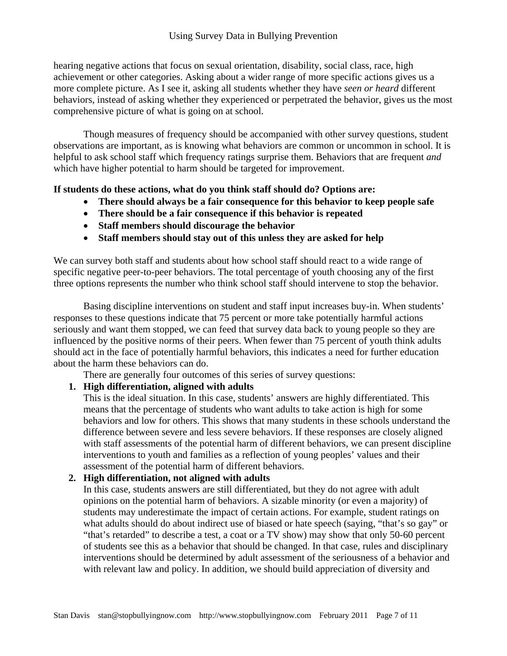hearing negative actions that focus on sexual orientation, disability, social class, race, high achievement or other categories. Asking about a wider range of more specific actions gives us a more complete picture. As I see it, asking all students whether they have *seen or heard* different behaviors, instead of asking whether they experienced or perpetrated the behavior, gives us the most comprehensive picture of what is going on at school.

Though measures of frequency should be accompanied with other survey questions, student observations are important, as is knowing what behaviors are common or uncommon in school. It is helpful to ask school staff which frequency ratings surprise them. Behaviors that are frequent *and* which have higher potential to harm should be targeted for improvement.

# **If students do these actions, what do you think staff should do? Options are:**

- **There should always be a fair consequence for this behavior to keep people safe**
- **There should be a fair consequence if this behavior is repeated**
- **Staff members should discourage the behavior**
- **Staff members should stay out of this unless they are asked for help**

We can survey both staff and students about how school staff should react to a wide range of specific negative peer-to-peer behaviors. The total percentage of youth choosing any of the first three options represents the number who think school staff should intervene to stop the behavior.

Basing discipline interventions on student and staff input increases buy-in. When students' responses to these questions indicate that 75 percent or more take potentially harmful actions seriously and want them stopped, we can feed that survey data back to young people so they are influenced by the positive norms of their peers. When fewer than 75 percent of youth think adults should act in the face of potentially harmful behaviors, this indicates a need for further education about the harm these behaviors can do.

There are generally four outcomes of this series of survey questions:

# **1. High differentiation, aligned with adults**

This is the ideal situation. In this case, students' answers are highly differentiated. This means that the percentage of students who want adults to take action is high for some behaviors and low for others. This shows that many students in these schools understand the difference between severe and less severe behaviors. If these responses are closely aligned with staff assessments of the potential harm of different behaviors, we can present discipline interventions to youth and families as a reflection of young peoples' values and their assessment of the potential harm of different behaviors.

# **2. High differentiation, not aligned with adults**

In this case, students answers are still differentiated, but they do not agree with adult opinions on the potential harm of behaviors. A sizable minority (or even a majority) of students may underestimate the impact of certain actions. For example, student ratings on what adults should do about indirect use of biased or hate speech (saying, "that's so gay" or "that's retarded" to describe a test, a coat or a TV show) may show that only 50-60 percent of students see this as a behavior that should be changed. In that case, rules and disciplinary interventions should be determined by adult assessment of the seriousness of a behavior and with relevant law and policy. In addition, we should build appreciation of diversity and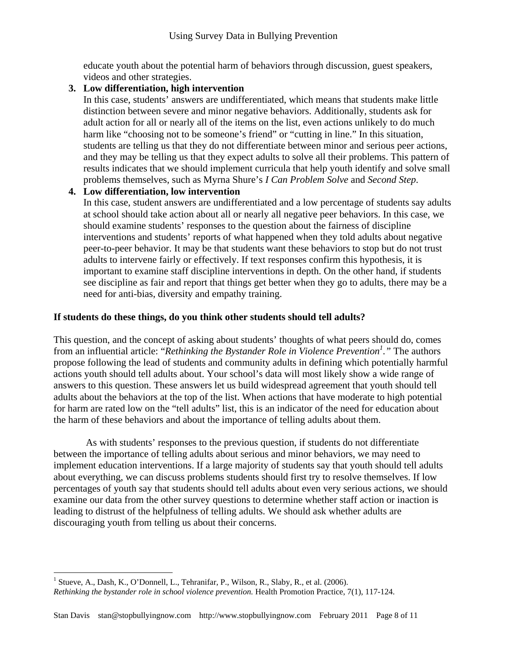educate youth about the potential harm of behaviors through discussion, guest speakers, videos and other strategies.

# **3. Low differentiation, high intervention**

In this case, students' answers are undifferentiated, which means that students make little distinction between severe and minor negative behaviors. Additionally, students ask for adult action for all or nearly all of the items on the list, even actions unlikely to do much harm like "choosing not to be someone's friend" or "cutting in line." In this situation, students are telling us that they do not differentiate between minor and serious peer actions, and they may be telling us that they expect adults to solve all their problems. This pattern of results indicates that we should implement curricula that help youth identify and solve small problems themselves, such as Myrna Shure's *I Can Problem Solve* and *Second Step*.

# **4. Low differentiation, low intervention**

In this case, student answers are undifferentiated and a low percentage of students say adults at school should take action about all or nearly all negative peer behaviors. In this case, we should examine students' responses to the question about the fairness of discipline interventions and students' reports of what happened when they told adults about negative peer-to-peer behavior. It may be that students want these behaviors to stop but do not trust adults to intervene fairly or effectively. If text responses confirm this hypothesis, it is important to examine staff discipline interventions in depth. On the other hand, if students see discipline as fair and report that things get better when they go to adults, there may be a need for anti-bias, diversity and empathy training.

# **If students do these things, do you think other students should tell adults?**

This question, and the concept of asking about students' thoughts of what peers should do, comes from an influential article: "*Rethinking the Bystander Role in Violence Prevention1 ."* The authors propose following the lead of students and community adults in defining which potentially harmful actions youth should tell adults about. Your school's data will most likely show a wide range of answers to this question. These answers let us build widespread agreement that youth should tell adults about the behaviors at the top of the list. When actions that have moderate to high potential for harm are rated low on the "tell adults" list, this is an indicator of the need for education about the harm of these behaviors and about the importance of telling adults about them.

 As with students' responses to the previous question, if students do not differentiate between the importance of telling adults about serious and minor behaviors, we may need to implement education interventions. If a large majority of students say that youth should tell adults about everything, we can discuss problems students should first try to resolve themselves. If low percentages of youth say that students should tell adults about even very serious actions, we should examine our data from the other survey questions to determine whether staff action or inaction is leading to distrust of the helpfulness of telling adults. We should ask whether adults are discouraging youth from telling us about their concerns.

 $\overline{a}$ 

<sup>&</sup>lt;sup>1</sup> Stueve, A., Dash, K., O'Donnell, L., Tehranifar, P., Wilson, R., Slaby, R., et al. (2006). *Rethinking the bystander role in school violence prevention.* Health Promotion Practice, 7(1), 117-124.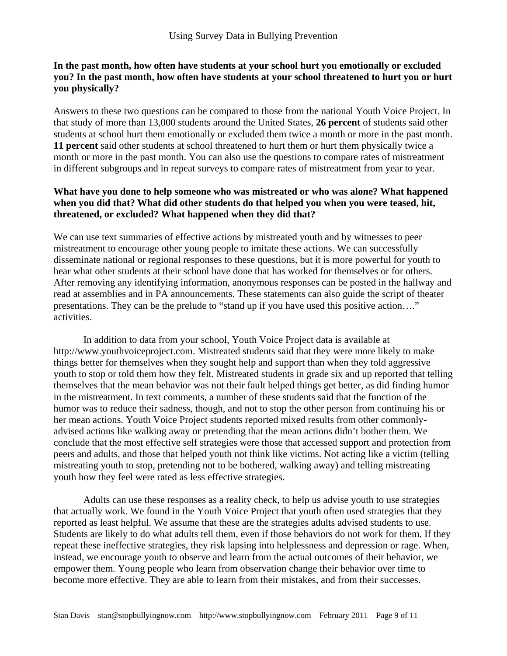## **In the past month, how often have students at your school hurt you emotionally or excluded you? In the past month, how often have students at your school threatened to hurt you or hurt you physically?**

Answers to these two questions can be compared to those from the national Youth Voice Project. In that study of more than 13,000 students around the United States, **26 percent** of students said other students at school hurt them emotionally or excluded them twice a month or more in the past month. **11 percent** said other students at school threatened to hurt them or hurt them physically twice a month or more in the past month. You can also use the questions to compare rates of mistreatment in different subgroups and in repeat surveys to compare rates of mistreatment from year to year.

# **What have you done to help someone who was mistreated or who was alone? What happened when you did that? What did other students do that helped you when you were teased, hit, threatened, or excluded? What happened when they did that?**

We can use text summaries of effective actions by mistreated youth and by witnesses to peer mistreatment to encourage other young people to imitate these actions. We can successfully disseminate national or regional responses to these questions, but it is more powerful for youth to hear what other students at their school have done that has worked for themselves or for others. After removing any identifying information, anonymous responses can be posted in the hallway and read at assemblies and in PA announcements. These statements can also guide the script of theater presentations. They can be the prelude to "stand up if you have used this positive action…." activities.

In addition to data from your school, Youth Voice Project data is available at http://www.youthvoiceproject.com. Mistreated students said that they were more likely to make things better for themselves when they sought help and support than when they told aggressive youth to stop or told them how they felt. Mistreated students in grade six and up reported that telling themselves that the mean behavior was not their fault helped things get better, as did finding humor in the mistreatment. In text comments, a number of these students said that the function of the humor was to reduce their sadness, though, and not to stop the other person from continuing his or her mean actions. Youth Voice Project students reported mixed results from other commonlyadvised actions like walking away or pretending that the mean actions didn't bother them. We conclude that the most effective self strategies were those that accessed support and protection from peers and adults, and those that helped youth not think like victims. Not acting like a victim (telling mistreating youth to stop, pretending not to be bothered, walking away) and telling mistreating youth how they feel were rated as less effective strategies.

Adults can use these responses as a reality check, to help us advise youth to use strategies that actually work. We found in the Youth Voice Project that youth often used strategies that they reported as least helpful. We assume that these are the strategies adults advised students to use. Students are likely to do what adults tell them, even if those behaviors do not work for them. If they repeat these ineffective strategies, they risk lapsing into helplessness and depression or rage. When, instead, we encourage youth to observe and learn from the actual outcomes of their behavior, we empower them. Young people who learn from observation change their behavior over time to become more effective. They are able to learn from their mistakes, and from their successes.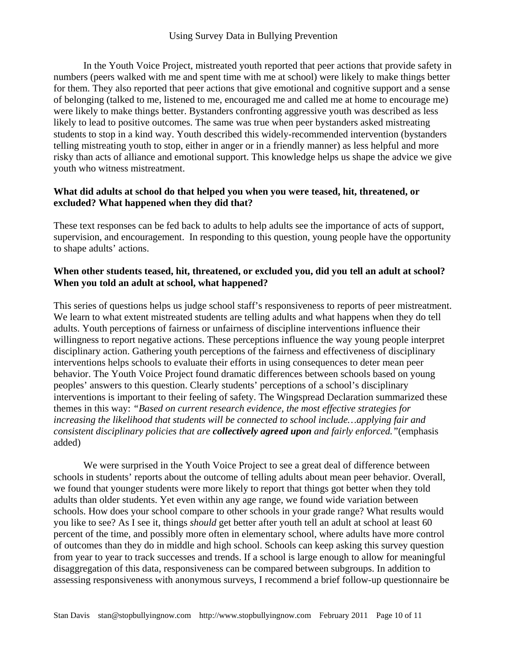In the Youth Voice Project, mistreated youth reported that peer actions that provide safety in numbers (peers walked with me and spent time with me at school) were likely to make things better for them. They also reported that peer actions that give emotional and cognitive support and a sense of belonging (talked to me, listened to me, encouraged me and called me at home to encourage me) were likely to make things better. Bystanders confronting aggressive youth was described as less likely to lead to positive outcomes. The same was true when peer bystanders asked mistreating students to stop in a kind way. Youth described this widely-recommended intervention (bystanders telling mistreating youth to stop, either in anger or in a friendly manner) as less helpful and more risky than acts of alliance and emotional support. This knowledge helps us shape the advice we give youth who witness mistreatment.

# **What did adults at school do that helped you when you were teased, hit, threatened, or excluded? What happened when they did that?**

These text responses can be fed back to adults to help adults see the importance of acts of support, supervision, and encouragement. In responding to this question, young people have the opportunity to shape adults' actions.

# **When other students teased, hit, threatened, or excluded you, did you tell an adult at school? When you told an adult at school, what happened?**

This series of questions helps us judge school staff's responsiveness to reports of peer mistreatment. We learn to what extent mistreated students are telling adults and what happens when they do tell adults. Youth perceptions of fairness or unfairness of discipline interventions influence their willingness to report negative actions. These perceptions influence the way young people interpret disciplinary action. Gathering youth perceptions of the fairness and effectiveness of disciplinary interventions helps schools to evaluate their efforts in using consequences to deter mean peer behavior. The Youth Voice Project found dramatic differences between schools based on young peoples' answers to this question. Clearly students' perceptions of a school's disciplinary interventions is important to their feeling of safety. The Wingspread Declaration summarized these themes in this way: *"Based on current research evidence, the most effective strategies for increasing the likelihood that students will be connected to school include…applying fair and consistent disciplinary policies that are collectively agreed upon and fairly enforced."*(emphasis added)

 We were surprised in the Youth Voice Project to see a great deal of difference between schools in students' reports about the outcome of telling adults about mean peer behavior. Overall, we found that younger students were more likely to report that things got better when they told adults than older students. Yet even within any age range, we found wide variation between schools. How does your school compare to other schools in your grade range? What results would you like to see? As I see it, things *should* get better after youth tell an adult at school at least 60 percent of the time, and possibly more often in elementary school, where adults have more control of outcomes than they do in middle and high school. Schools can keep asking this survey question from year to year to track successes and trends. If a school is large enough to allow for meaningful disaggregation of this data, responsiveness can be compared between subgroups. In addition to assessing responsiveness with anonymous surveys, I recommend a brief follow-up questionnaire be